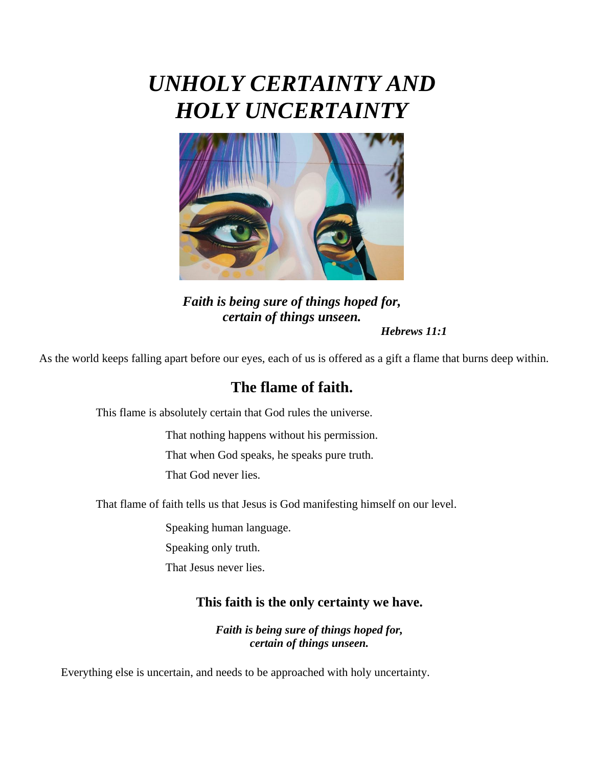# *UNHOLY CERTAINTY AND HOLY UNCERTAINTY*



*Faith is being sure of things hoped for, certain of things unseen. Hebrews 11:1*

As the world keeps falling apart before our eyes, each of us is offered as a gift a flame that burns deep within.

# **The flame of faith.**

This flame is absolutely certain that God rules the universe.

That nothing happens without his permission.

That when God speaks, he speaks pure truth.

That God never lies.

That flame of faith tells us that Jesus is God manifesting himself on our level.

Speaking human language.

Speaking only truth.

That Jesus never lies.

#### **This faith is the only certainty we have.**

*Faith is being sure of things hoped for, certain of things unseen.*

Everything else is uncertain, and needs to be approached with holy uncertainty.